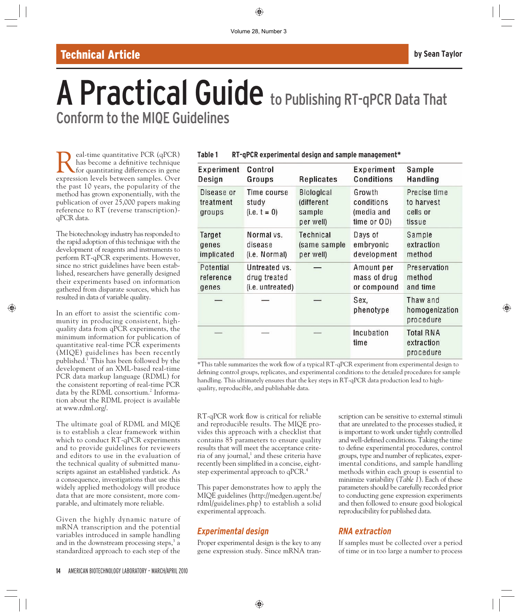## Technical Article **by Sean Taylor**

# A Practical Guide to Publishing RT-qPCR Data That Conform to the MIQE Guidelines

**Real-time quantitative PCR (qPCR)**<br>for quantitating differences in gene<br>expression levels between samples. Over has become a definitive technique expression levels between samples. Over the past 10 years, the popularity of the method has grown exponentially, with the publication of over 25,000 papers making reference to RT (reverse transcription) qPCR data.

The biotechnology industry has responded to the rapid adoption of this technique with the development of reagents and instruments to perform RT-qPCR experiments. However, since no strict guidelines have been established, researchers have generally designed their experiments based on information gathered from disparate sources, which has resulted in data of variable quality.

In an effort to assist the scientific community in producing consistent, highquality data from qPCR experiments, the minimum information for publication of quantitative real-time PCR experiments (MIQE) guidelines has been recently published.<sup>1</sup> This has been followed by the development of an XML-based real-time PCR data markup language (RDML) for the consistent reporting of real-time PCR data by the RDML consortium.<sup>2</sup> Information about the RDML project is available at www.rdml.org/.

The ultimate goal of RDML and MIQE is to establish a clear framework within which to conduct RT-qPCR experiments and to provide guidelines for reviewers and editors to use in the evaluation of the technical quality of submitted manuscripts against an established yardstick. As a consequence, investigations that use this widely applied methodology will produce data that are more consistent, more comparable, and ultimately more reliable.

Given the highly dynamic nature of mRNA transcription and the potential variables introduced in sample handling and in the downstream processing steps, $3$  a standardized approach to each step of the

| <b>Experiment Control</b> |              |                    | Experiment Sample |                                 |
|---------------------------|--------------|--------------------|-------------------|---------------------------------|
| $D_{\text{max}}$          | $\mathbf{r}$ | $D$ and $i$ and an | $n = 4$ ;         | $L_{\rm max}$ and $L_{\rm max}$ |

**Table 1 RT-qPCR experimental design and sample management\***

| <b>LAPERINGIIL</b>                | <u>GUILLUI</u>                         | <b>Replicates</b>                                      | <b>LAPCHILICIIL</b>                               | oaliipie                                         |
|-----------------------------------|----------------------------------------|--------------------------------------------------------|---------------------------------------------------|--------------------------------------------------|
| Design                            | Groups                                 |                                                        | <b>Conditions</b>                                 | Handling                                         |
| Disease or<br>treatment<br>groups | Time course<br>study<br>$(i.e. t = 0)$ | <b>Biological</b><br>(different<br>sample<br>per well) | Growth<br>conditions<br>(media and<br>time or OD) | Precise time<br>to harvest<br>cells or<br>tissue |
| Target                            | Normal vs.                             | Technical                                              | Days of                                           | Sample                                           |
| genes                             | disease                                | (same sample                                           | embryonic                                         | extraction                                       |
| implicated                        | (i.e. Normal)                          | per well)                                              | development                                       | method                                           |
| Potential                         | Untreated vs.                          |                                                        | Amount per                                        | Preservation                                     |
| reference                         | drug treated                           |                                                        | mass of drug                                      | method                                           |
| genes                             | (i.e. untreated)                       |                                                        | or compound                                       | and time                                         |
|                                   |                                        |                                                        | Sex.<br>phenotype                                 | Thaw and<br>homogenization<br>procedure          |
|                                   |                                        |                                                        | Incubation<br>time                                | <b>Total RNA</b><br>extraction<br>procedure      |

\*This table summarizes the work flow of a typical RT-qPCR experiment from experimental design to defining control groups, replicates, and experimental conditions to the detailed procedures for sample handling. This ultimately ensures that the key steps in RT-qPCR data production lead to high quality, reproducible, and publishable data.

RT-qPCR work flow is critical for reliable and reproducible results. The MIQE provides this approach with a checklist that contains 85 parameters to ensure quality results that will meet the acceptance criteria of any journal,<sup>1</sup> and these criteria have recently been simplified in a concise, eightstep experimental approach to qPCR.<sup>4</sup>

This paper demonstrates how to apply the MIQE guidelines (http://medgen.ugent.be/ rdml/guidelines.php) to establish a solid experimental approach.

## *Experimental design*

Proper experimental design is the key to any gene expression study. Since mRNA transcription can be sensitive to external stimuli that are unrelated to the processes studied, it is important to work under tightly controlled and well-defined conditions. Taking the time to define experimental procedures, control groups, type and number of replicates, experimental conditions, and sample handling methods within each group is essential to minimize variability (*Table 1*). Each of these parameters should be carefully recorded prior to conducting gene expression experiments and then followed to ensure good biological reproducibility for published data.

## *RNA extraction*

If samples must be collected over a period of time or in too large a number to process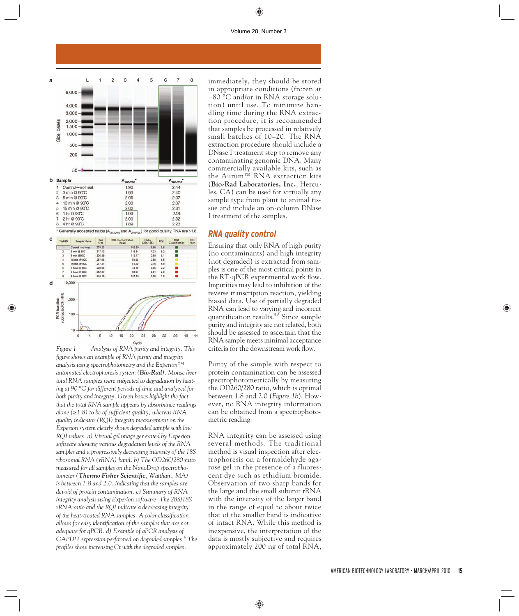#### Volume 28, Number 3



*Figure 1 Analysis of RNA purity and integrity. This fi gure shows an example of RNA purity and integrity analysis using spectrophotometry and the Experion™ automated electrophoresis system (Bio-Rad). Mouse liver total RNA samples were subjected to degradation by heating at 90 °C for different periods of time and analyzed for both purity and integrity. Green boxes highlight the fact that the total RNA sample appears by absorbance readings alone* (≥1.8) to be of sufficient quality, whereas RNA *quality indicator (RQI) integrity measurement on the Experion system clearly shows degraded sample with low RQI values. a) Virtual gel image generated by Experion software showing various degradation levels of the RNA samples and a progressively decreasing intensity of the 18S ribosomal RNA (rRNA) band. b) The OD260/280 ratio measured for all samples on the NanoDrop spectrophotometer* (*Thermo Fisher Scientific*, *Waltham*, *MA*) *is between 1.8 and 2.0, indicating that the samples are devoid of protein contamination. c) Summary of RNA integrity analysis using Experion software. The 28S/18S rRNA ratio and the RQI indicate a decreasing integrity of the heat-treated RNA samples. A color classification* allows for easy identification of the samples that are not *adequate for qPCR. d) Example of qPCR analysis of*  GAPDH expression performed on degraded samples.<sup>6</sup> The *profi les show increasing Ct with the degraded samples.*

immediately, they should be stored in appropriate conditions (frozen at −80 °C and/or in RNA storage solution) until use. To minimize handling time during the RNA extraction procedure, it is recommended that samples be processed in relatively small batches of 10–20. The RNA extraction procedure should include a DNase I treatment step to remove any contaminating genomic DNA. Many commercially available kits, such as the Aurum™ RNA extraction kits (**Bio-Rad Laboratories, Inc.**, Hercules, CA) can be used for virtually any sample type from plant to animal tissue and include an on-column DNase I treatment of the samples.

#### *RNA quality control*

Ensuring that only RNA of high purity (no contaminants) and high integrity (not degraded) is extracted from samples is one of the most critical points in the RT-qPCR experimental work flow. Impurities may lead to inhibition of the reverse transcription reaction, yielding biased data. Use of partially degraded RNA can lead to varying and incorrect quantification results.<sup>5,6</sup> Since sample purity and integrity are not related, both should be assessed to ascertain that the RNA sample meets minimal acceptance criteria for the downstream work flow.

Purity of the sample with respect to protein contamination can be assessed spectrophotometrically by measuring the OD260/280 ratio, which is optimal between 1.8 and 2.0 (*Figure 1b*). However, no RNA integrity information can be obtained from a spectrophotometric reading.

RNA integrity can be assessed using several methods. The traditional method is visual inspection after electrophoresis on a formaldehyde agarose gel in the presence of a fluorescent dye such as ethidium bromide. Observation of two sharp bands for the large and the small subunit rRNA with the intensity of the larger band in the range of equal to about twice that of the smaller band is indicative of intact RNA. While this method is inexpensive, the interpretation of the data is mostly subjective and requires approximately 200 ng of total RNA,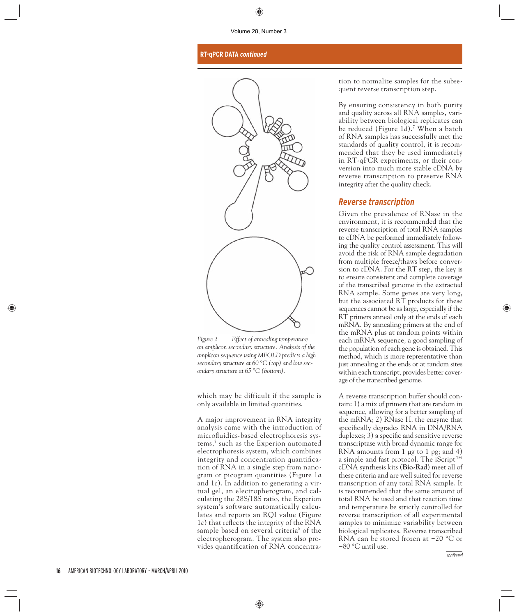#### **RT-qPCR DATA** *continued*



*Figure 2 Effect of annealing temperature on amplicon secondary structure. Analysis of the amplicon sequence using MFOLD predicts a high secondary structure at 60 °C (top) and low secondary structure at 65 °C (bottom).*

which may be difficult if the sample is only available in limited quantities.

A major improvement in RNA integrity analysis came with the introduction of microfluidics-based electrophoresis systems,<sup>7</sup> such as the Experion automated electrophoresis system, which combines integrity and concentration quantification of RNA in a single step from nanogram or picogram quantities (Figure 1*a* and 1*c*). In addition to generating a virtual gel, an electropherogram, and calculating the 28S/18S ratio, the Experion system's software automatically calculates and reports an RQI value (Figure 1*c*) that reflects the integrity of the RNA sample based on several criteria<sup>8</sup> of the electropherogram. The system also provides quantification of RNA concentration to normalize samples for the subsequent reverse transcription step.

By ensuring consistency in both purity and quality across all RNA samples, variability between biological replicates can be reduced (Figure 1*d*).<sup>7</sup> When a batch of RNA samples has successfully met the standards of quality control, it is recommended that they be used immediately in RT-qPCR experiments, or their conversion into much more stable cDNA by reverse transcription to preserve RNA integrity after the quality check.

#### *Reverse transcription*

Given the prevalence of RNase in the environment, it is recommended that the reverse transcription of total RNA samples to cDNA be performed immediately following the quality control assessment. This will avoid the risk of RNA sample degradation from multiple freeze/thaws before conversion to cDNA. For the RT step, the key is to ensure consistent and complete coverage of the transcribed genome in the extracted RNA sample. Some genes are very long, but the associated RT products for these sequences cannot be as large, especially if the RT primers anneal only at the ends of each mRNA. By annealing primers at the end of the mRNA plus at random points within each mRNA sequence, a good sampling of the population of each gene is obtained. This method, which is more representative than just annealing at the ends or at random sites within each transcript, provides better coverage of the transcribed genome.

A reverse transcription buffer should contain: 1) a mix of primers that are random in sequence, allowing for a better sampling of the mRNA; 2) RNase H, the enzyme that specifically degrades RNA in DNA/RNA duplexes; 3) a specific and sensitive reverse transcriptase with broad dynamic range for RNA amounts from 1 µg to 1 pg; and 4) a simple and fast protocol. The iScript™ cDNA synthesis kits (**Bio-Rad**) meet all of these criteria and are well suited for reverse transcription of any total RNA sample. It is recommended that the same amount of total RNA be used and that reaction time and temperature be strictly controlled for reverse transcription of all experimental samples to minimize variability between biological replicates. Reverse transcribed RNA can be stored frozen at −20 °C or −80 °C until use.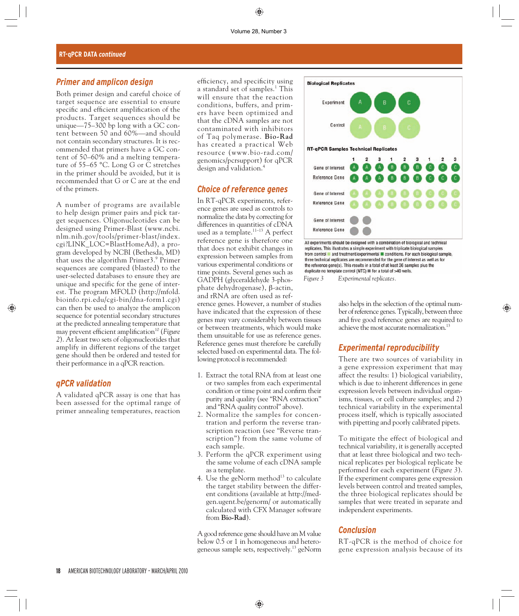#### *Primer and amplicon design*

Both primer design and careful choice of target sequence are essential to ensure specific and efficient amplification of the products. Target sequences should be unique—75–300 bp long with a GC content between 50 and 60%—and should not contain secondary structures. It is recommended that primers have a GC content of 50–60% and a melting temperature of 55–65 °C. Long G or C stretches in the primer should be avoided, but it is recommended that G or C are at the end of the primers.

A number of programs are available to help design primer pairs and pick target sequences. Oligonucleotides can be designed using Primer-Blast (www.ncbi. nlm.nih.gov/tools/primer-blast/index. cgi?LINK\_LOC=BlastHomeAd), a program developed by NCBI (Bethesda, MD) that uses the algorithm Primer3.<sup>9</sup> Primer sequences are compared (blasted) to the user-selected databases to ensure they are unique and specific for the gene of interest. The program MFOLD (http://mfold. bioinfo.rpi.edu/cgi-bin/dna-form1.cgi) can then be used to analyze the amplicon sequence for potential secondary structures at the predicted annealing temperature that may prevent efficient amplification<sup>10</sup> (*Figure 2*). At least two sets of oligonucleotides that amplify in different regions of the target gene should then be ordered and tested for their performance in a qPCR reaction.

#### *qPCR validation*

A validated qPCR assay is one that has been assessed for the optimal range of primer annealing temperatures, reaction

efficiency, and specificity using a standard set of samples.<sup>1</sup> This will ensure that the reaction conditions, buffers, and primers have been optimized and that the cDNA samples are not contaminated with inhibitors of Taq polymerase. **Bio-Rad** has created a practical Web resource (www.bio-rad.com/ genomics/pcrsupport) for qPCR design and validation.4

#### *Choice of reference genes*

In RT-qPCR experiments, reference genes are used as controls to normalize the data by correcting for differences in quantities of cDNA used as a template. $11-13}$  A perfect reference gene is therefore one that does not exhibit changes in expression between samples from various experimental conditions or time points. Several genes such as GADPH (glyceraldehyde 3-phosphate dehydrogenase), β-actin, and rRNA are often used as ref-

erence genes. However, a number of studies have indicated that the expression of these genes may vary considerably between tissues or between treatments, which would make them unsuitable for use as reference genes. Reference genes must therefore be carefully selected based on experimental data. The following protocol is recommended:

- 1. Extract the total RNA from at least one or two samples from each experimental condition or time point and confirm their purity and quality (see "RNA extraction" and "RNA quality control" above).
- 2. Normalize the samples for concentration and perform the reverse transcription reaction (see "Reverse transcription") from the same volume of each sample.
- 3. Perform the qPCR experiment using the same volume of each cDNA sample as a template.
- 4. Use the geNorm method $13$  to calculate the target stability between the different conditions (available at http://medgen.ugent.be/genorm/ or automatically calculated with CFX Manager software from **Bio-Rad**).

A good reference gene should have an M value below 0.5 or 1 in homogeneous and heterogeneous sample sets, respectively.<sup>13</sup> geNorm



All experiments should be designed with a combination of biological and technical replicates. This illustrates a simple experiment with triplicate biological samples from control and treatment/experimental conditions. For each biological sample, three technical replicates are recommended for the gene of interest as well as for the reference gene(s). This results in a total of at least 36 samples plus the duplicate no template control (NTC) III for a total of >40 wells.

*Figure 3 Experimental replicates.*

also helps in the selection of the optimal number of reference genes. Typically, between three and five good reference genes are required to achieve the most accurate normalization.<sup>13</sup>

#### *Experimental reproducibility*

There are two sources of variability in a gene expression experiment that may affect the results: 1) biological variability, which is due to inherent differences in gene expression levels between individual organisms, tissues, or cell culture samples; and 2) technical variability in the experimental process itself, which is typically associated with pipetting and poorly calibrated pipets.

To mitigate the effect of biological and technical variability, it is generally accepted that at least three biological and two technical replicates per biological replicate be performed for each experiment (*Figure 3*). If the experiment compares gene expression levels between control and treated samples, the three biological replicates should be samples that were treated in separate and independent experiments.

### *Conclusion*

RT-qPCR is the method of choice for gene expression analysis because of its